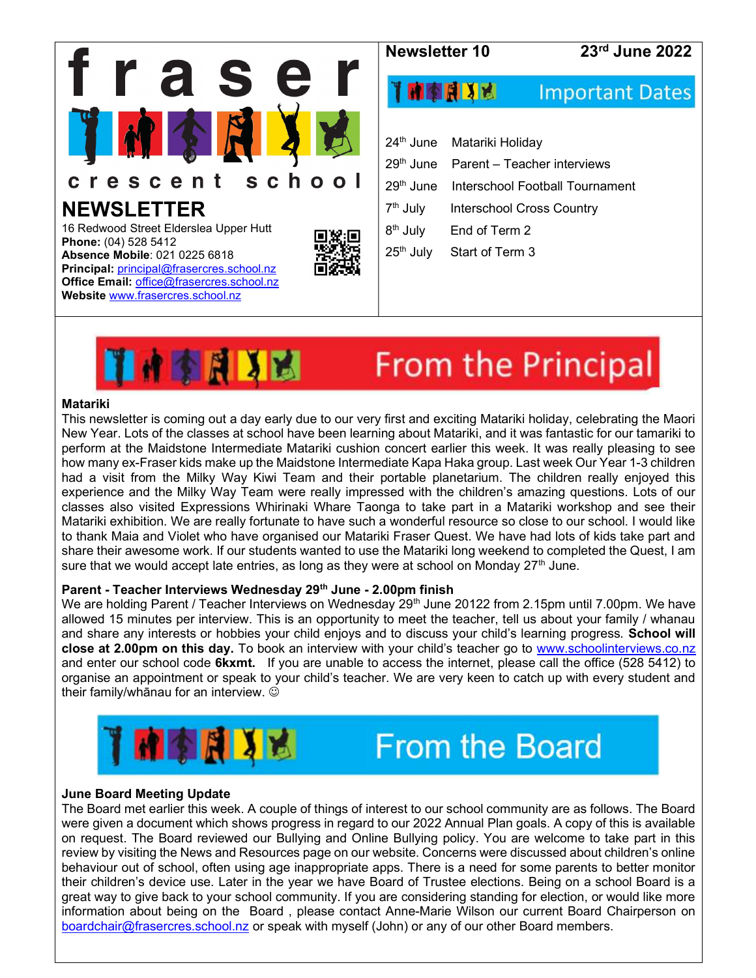



# From the Principal

#### Matariki

This newsletter is coming out a day early due to our very first and exciting Matariki holiday, celebrating the Maori New Year. Lots of the classes at school have been learning about Matariki, and it was fantastic for our tamariki to perform at the Maidstone Intermediate Matariki cushion concert earlier this week. It was really pleasing to see how many ex-Fraser kids make up the Maidstone Intermediate Kapa Haka group. Last week Our Year 1-3 children had a visit from the Milky Way Kiwi Team and their portable planetarium. The children really enjoyed this experience and the Milky Way Team were really impressed with the children's amazing questions. Lots of our classes also visited Expressions Whirinaki Whare Taonga to take part in a Matariki workshop and see their Matariki exhibition. We are really fortunate to have such a wonderful resource so close to our school. I would like to thank Maia and Violet who have organised our Matariki Fraser Quest. We have had lots of kids take part and share their awesome work. If our students wanted to use the Matariki long weekend to completed the Quest, I am sure that we would accept late entries, as long as they were at school on Monday  $27<sup>th</sup>$  June.

## Parent - Teacher Interviews Wednesday 29<sup>th</sup> June - 2.00pm finish

We are holding Parent / Teacher Interviews on Wednesday 29<sup>th</sup> June 20122 from 2.15pm until 7.00pm. We have allowed 15 minutes per interview. This is an opportunity to meet the teacher, tell us about your family / whanau and share any interests or hobbies your child enjoys and to discuss your child's learning progress. School will close at 2.00pm on this day. To book an interview with your child's teacher go to www.schoolinterviews.co.nz and enter our school code 6kxmt. If you are unable to access the internet, please call the office (528 5412) to organise an appointment or speak to your child's teacher. We are very keen to catch up with every student and their family/whānau for an interview.





## June Board Meeting Update

The Board met earlier this week. A couple of things of interest to our school community are as follows. The Board were given a document which shows progress in regard to our 2022 Annual Plan goals. A copy of this is available on request. The Board reviewed our Bullying and Online Bullying policy. You are welcome to take part in this review by visiting the News and Resources page on our website. Concerns were discussed about children's online behaviour out of school, often using age inappropriate apps. There is a need for some parents to better monitor their children's device use. Later in the year we have Board of Trustee elections. Being on a school Board is a great way to give back to your school community. If you are considering standing for election, or would like more information about being on the Board , please contact Anne-Marie Wilson our current Board Chairperson on boardchair@frasercres.school.nz or speak with myself (John) or any of our other Board members.